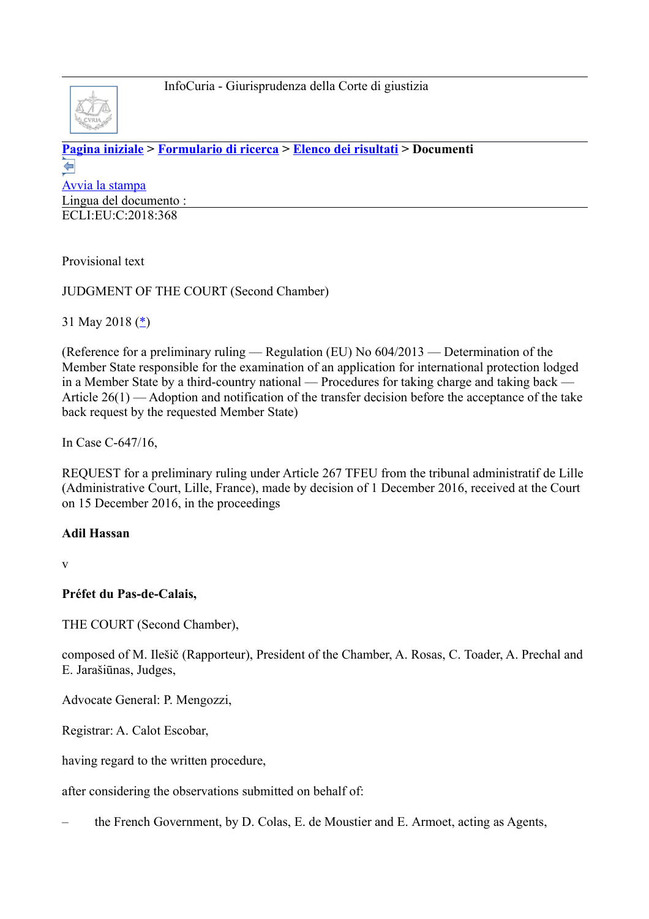

**[Pagina iniziale](http://curia.europa.eu/jcms/jcms/j_6?PortalAction_x_000_userLang=it) > [Formulario di ricerca](http://curia.europa.eu/juris/document/document.jsf?doclang=EN&text=&pageIndex=0&part=1&mode=lst&docid=202412&occ=first&dir=&actionMethod=document%2Fdocument.xhtml%3AformController.resetAction&cid=1247257) > [Elenco dei risultati](http://curia.europa.eu/juris/documents.jsf?pro=&lgrec=it&nat=or&oqp=&lg=&dates=%2524type%253Dpro%2524mode%253DfromTo%2524from%253D2018.05.16%2524to%253D2018.06.23&language=it&jur=C&cit=none%252CC%252CCJ%252CR%252C2008E%252C%252C%252C%252C%252C%252C%252C%252C%252C%252Ctrue%252Cfalse%252Cfalse&td=%3BALL&pcs=Oor&avg=&page=1&mat=or&etat=clot&jge=&for=&cid=1247257) > Documenti**  ⇚ [Avvia la stampa](http://curia.europa.eu/juris/document/document_print.jsf?doclang=EN&text=&pageIndex=0&part=1&mode=lst&docid=202412&occ=first&dir=&cid=1247257) Lingua del documento : ECLI:EU:C:2018:368

Provisional text

JUDGMENT OF THE COURT (Second Chamber)

31 May 2018 [\(\\*\)](http://curia.europa.eu/juris/document/document.jsf?text=&docid=202412&pageIndex=0&doclang=EN&mode=lst&dir=&occ=first&part=1&cid=1247257#Footnote*)

(Reference for a preliminary ruling — Regulation (EU) No 604/2013 — Determination of the Member State responsible for the examination of an application for international protection lodged in a Member State by a third-country national — Procedures for taking charge and taking back — Article 26(1) — Adoption and notification of the transfer decision before the acceptance of the take back request by the requested Member State)

In Case C-647/16,

REQUEST for a preliminary ruling under Article 267 TFEU from the tribunal administratif de Lille (Administrative Court, Lille, France), made by decision of 1 December 2016, received at the Court on 15 December 2016, in the proceedings

#### **Adil Hassan**

v

**Préfet du Pas-de-Calais,**

THE COURT (Second Chamber),

composed of M. Ilešič (Rapporteur), President of the Chamber, A. Rosas, C. Toader, A. Prechal and E. Jarašiūnas, Judges,

Advocate General: P. Mengozzi,

Registrar: A. Calot Escobar,

having regard to the written procedure,

after considering the observations submitted on behalf of:

– the French Government, by D. Colas, E. de Moustier and E. Armoet, acting as Agents,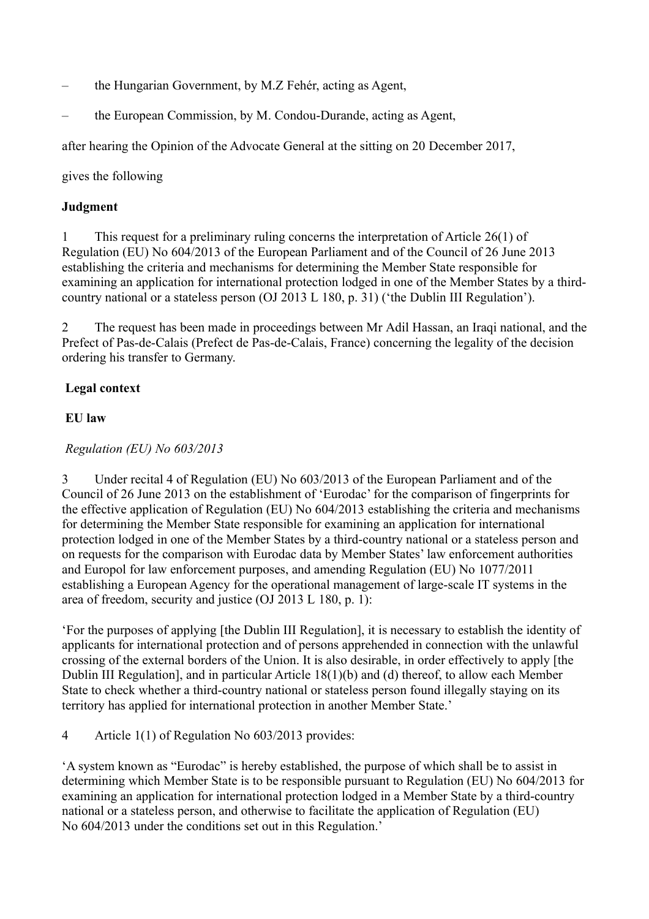- the Hungarian Government, by M.Z Fehér, acting as Agent,
- the European Commission, by M. Condou-Durande, acting as Agent,

after hearing the Opinion of the Advocate General at the sitting on 20 December 2017,

gives the following

#### **Judgment**

1 This request for a preliminary ruling concerns the interpretation of Article 26(1) of Regulation (EU) No 604/2013 of the European Parliament and of the Council of 26 June 2013 establishing the criteria and mechanisms for determining the Member State responsible for examining an application for international protection lodged in one of the Member States by a thirdcountry national or a stateless person (OJ 2013 L 180, p. 31) ('the Dublin III Regulation').

2 The request has been made in proceedings between Mr Adil Hassan, an Iraqi national, and the Prefect of Pas-de-Calais (Prefect de Pas-de-Calais, France) concerning the legality of the decision ordering his transfer to Germany.

### **Legal context**

#### **EU law**

### *Regulation (EU) No 603/2013*

3 Under recital 4 of Regulation (EU) No 603/2013 of the European Parliament and of the Council of 26 June 2013 on the establishment of 'Eurodac' for the comparison of fingerprints for the effective application of Regulation (EU) No 604/2013 establishing the criteria and mechanisms for determining the Member State responsible for examining an application for international protection lodged in one of the Member States by a third-country national or a stateless person and on requests for the comparison with Eurodac data by Member States' law enforcement authorities and Europol for law enforcement purposes, and amending Regulation (EU) No 1077/2011 establishing a European Agency for the operational management of large-scale IT systems in the area of freedom, security and justice (OJ 2013 L 180, p. 1):

'For the purposes of applying [the Dublin III Regulation], it is necessary to establish the identity of applicants for international protection and of persons apprehended in connection with the unlawful crossing of the external borders of the Union. It is also desirable, in order effectively to apply [the Dublin III Regulation], and in particular Article 18(1)(b) and (d) thereof, to allow each Member State to check whether a third-country national or stateless person found illegally staying on its territory has applied for international protection in another Member State.'

4 Article 1(1) of Regulation No 603/2013 provides:

'A system known as "Eurodac" is hereby established, the purpose of which shall be to assist in determining which Member State is to be responsible pursuant to Regulation (EU) No 604/2013 for examining an application for international protection lodged in a Member State by a third-country national or a stateless person, and otherwise to facilitate the application of Regulation (EU) No 604/2013 under the conditions set out in this Regulation.'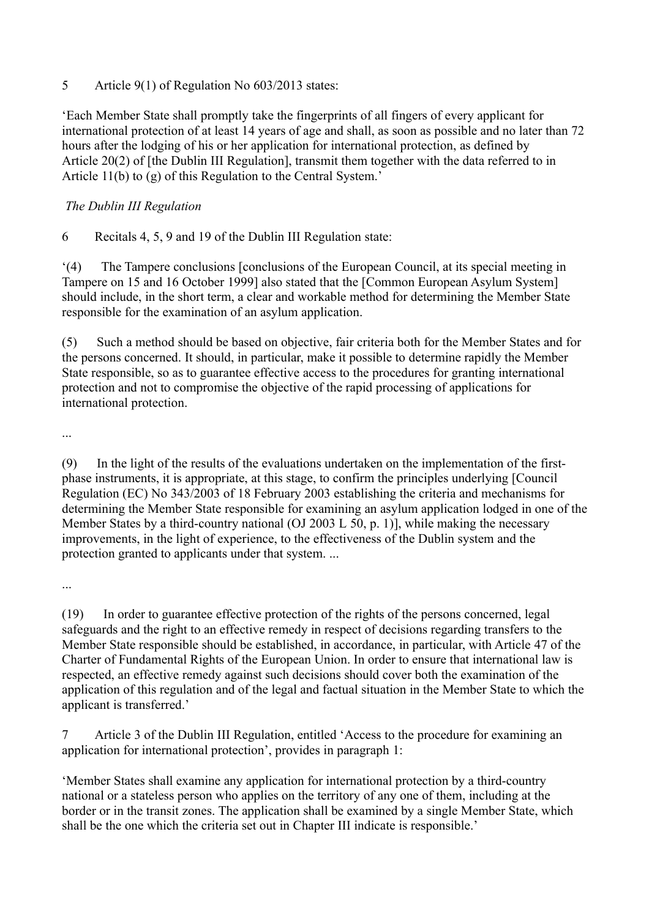5 Article 9(1) of Regulation No 603/2013 states:

'Each Member State shall promptly take the fingerprints of all fingers of every applicant for international protection of at least 14 years of age and shall, as soon as possible and no later than 72 hours after the lodging of his or her application for international protection, as defined by Article 20(2) of [the Dublin III Regulation], transmit them together with the data referred to in Article 11(b) to (g) of this Regulation to the Central System.'

### *The Dublin III Regulation*

6 Recitals 4, 5, 9 and 19 of the Dublin III Regulation state:

'(4) The Tampere conclusions [conclusions of the European Council, at its special meeting in Tampere on 15 and 16 October 1999] also stated that the [Common European Asylum System] should include, in the short term, a clear and workable method for determining the Member State responsible for the examination of an asylum application.

(5) Such a method should be based on objective, fair criteria both for the Member States and for the persons concerned. It should, in particular, make it possible to determine rapidly the Member State responsible, so as to guarantee effective access to the procedures for granting international protection and not to compromise the objective of the rapid processing of applications for international protection.

...

(9) In the light of the results of the evaluations undertaken on the implementation of the firstphase instruments, it is appropriate, at this stage, to confirm the principles underlying [Council Regulation (EC) No 343/2003 of 18 February 2003 establishing the criteria and mechanisms for determining the Member State responsible for examining an asylum application lodged in one of the Member States by a third-country national (OJ 2003 L 50, p. 1)], while making the necessary improvements, in the light of experience, to the effectiveness of the Dublin system and the protection granted to applicants under that system. ...

...

(19) In order to guarantee effective protection of the rights of the persons concerned, legal safeguards and the right to an effective remedy in respect of decisions regarding transfers to the Member State responsible should be established, in accordance, in particular, with Article 47 of the Charter of Fundamental Rights of the European Union. In order to ensure that international law is respected, an effective remedy against such decisions should cover both the examination of the application of this regulation and of the legal and factual situation in the Member State to which the applicant is transferred.'

7 Article 3 of the Dublin III Regulation, entitled 'Access to the procedure for examining an application for international protection', provides in paragraph 1:

'Member States shall examine any application for international protection by a third-country national or a stateless person who applies on the territory of any one of them, including at the border or in the transit zones. The application shall be examined by a single Member State, which shall be the one which the criteria set out in Chapter III indicate is responsible.'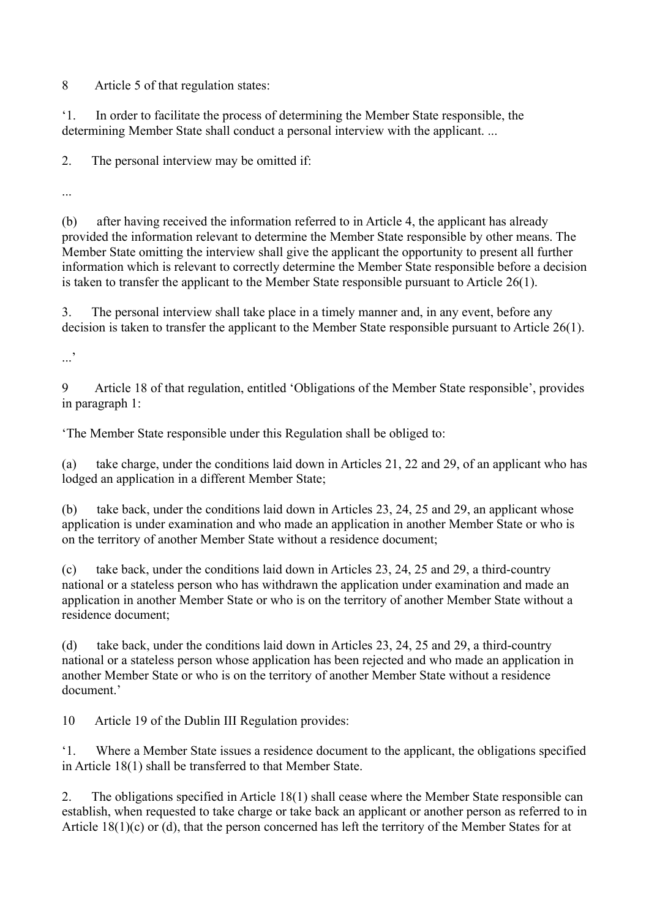8 Article 5 of that regulation states:

'1. In order to facilitate the process of determining the Member State responsible, the determining Member State shall conduct a personal interview with the applicant. ...

2. The personal interview may be omitted if:

...

(b) after having received the information referred to in Article 4, the applicant has already provided the information relevant to determine the Member State responsible by other means. The Member State omitting the interview shall give the applicant the opportunity to present all further information which is relevant to correctly determine the Member State responsible before a decision is taken to transfer the applicant to the Member State responsible pursuant to Article 26(1).

3. The personal interview shall take place in a timely manner and, in any event, before any decision is taken to transfer the applicant to the Member State responsible pursuant to Article 26(1).

 $\cdot$ ...'

9 Article 18 of that regulation, entitled 'Obligations of the Member State responsible', provides in paragraph 1:

'The Member State responsible under this Regulation shall be obliged to:

(a) take charge, under the conditions laid down in Articles 21, 22 and 29, of an applicant who has lodged an application in a different Member State;

(b) take back, under the conditions laid down in Articles 23, 24, 25 and 29, an applicant whose application is under examination and who made an application in another Member State or who is on the territory of another Member State without a residence document;

(c) take back, under the conditions laid down in Articles 23, 24, 25 and 29, a third-country national or a stateless person who has withdrawn the application under examination and made an application in another Member State or who is on the territory of another Member State without a residence document;

(d) take back, under the conditions laid down in Articles 23, 24, 25 and 29, a third-country national or a stateless person whose application has been rejected and who made an application in another Member State or who is on the territory of another Member State without a residence document.'

10 Article 19 of the Dublin III Regulation provides:

'1. Where a Member State issues a residence document to the applicant, the obligations specified in Article 18(1) shall be transferred to that Member State.

2. The obligations specified in Article 18(1) shall cease where the Member State responsible can establish, when requested to take charge or take back an applicant or another person as referred to in Article 18(1)(c) or (d), that the person concerned has left the territory of the Member States for at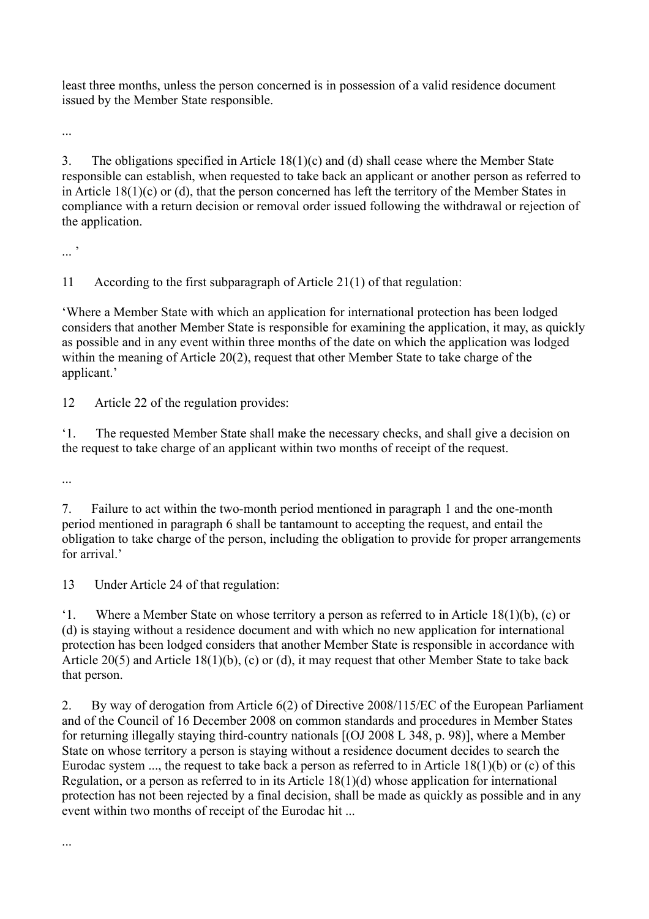least three months, unless the person concerned is in possession of a valid residence document issued by the Member State responsible.

...

3. The obligations specified in Article 18(1)(c) and (d) shall cease where the Member State responsible can establish, when requested to take back an applicant or another person as referred to in Article 18(1)(c) or (d), that the person concerned has left the territory of the Member States in compliance with a return decision or removal order issued following the withdrawal or rejection of the application.

... '

11 According to the first subparagraph of Article 21(1) of that regulation:

'Where a Member State with which an application for international protection has been lodged considers that another Member State is responsible for examining the application, it may, as quickly as possible and in any event within three months of the date on which the application was lodged within the meaning of Article 20(2), request that other Member State to take charge of the applicant.'

12 Article 22 of the regulation provides:

'1. The requested Member State shall make the necessary checks, and shall give a decision on the request to take charge of an applicant within two months of receipt of the request.

...

...

7. Failure to act within the two-month period mentioned in paragraph 1 and the one-month period mentioned in paragraph 6 shall be tantamount to accepting the request, and entail the obligation to take charge of the person, including the obligation to provide for proper arrangements for arrival<sup>'</sup>

13 Under Article 24 of that regulation:

'1. Where a Member State on whose territory a person as referred to in Article 18(1)(b), (c) or (d) is staying without a residence document and with which no new application for international protection has been lodged considers that another Member State is responsible in accordance with Article 20(5) and Article 18(1)(b), (c) or (d), it may request that other Member State to take back that person.

2. By way of derogation from Article 6(2) of Directive 2008/115/EC of the European Parliament and of the Council of 16 December 2008 on common standards and procedures in Member States for returning illegally staying third-country nationals [(OJ 2008 L 348, p. 98)], where a Member State on whose territory a person is staying without a residence document decides to search the Eurodac system ..., the request to take back a person as referred to in Article 18(1)(b) or (c) of this Regulation, or a person as referred to in its Article 18(1)(d) whose application for international protection has not been rejected by a final decision, shall be made as quickly as possible and in any event within two months of receipt of the Eurodac hit ...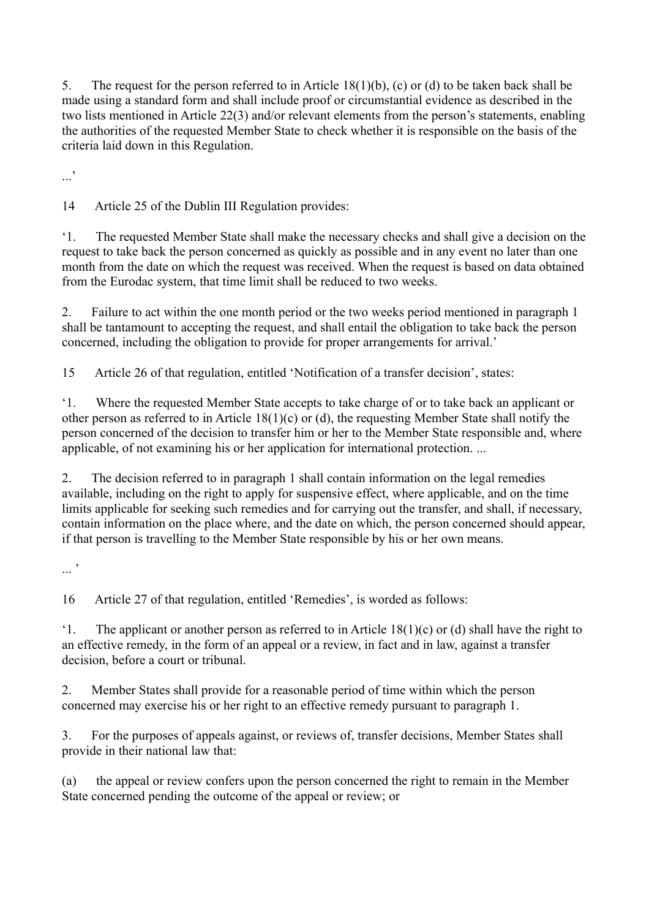5. The request for the person referred to in Article 18(1)(b), (c) or (d) to be taken back shall be made using a standard form and shall include proof or circumstantial evidence as described in the two lists mentioned in Article 22(3) and/or relevant elements from the person's statements, enabling the authorities of the requested Member State to check whether it is responsible on the basis of the criteria laid down in this Regulation.

...'

14 Article 25 of the Dublin III Regulation provides:

'1. The requested Member State shall make the necessary checks and shall give a decision on the request to take back the person concerned as quickly as possible and in any event no later than one month from the date on which the request was received. When the request is based on data obtained from the Eurodac system, that time limit shall be reduced to two weeks.

2. Failure to act within the one month period or the two weeks period mentioned in paragraph 1 shall be tantamount to accepting the request, and shall entail the obligation to take back the person concerned, including the obligation to provide for proper arrangements for arrival.'

15 Article 26 of that regulation, entitled 'Notification of a transfer decision', states:

'1. Where the requested Member State accepts to take charge of or to take back an applicant or other person as referred to in Article 18(1)(c) or (d), the requesting Member State shall notify the person concerned of the decision to transfer him or her to the Member State responsible and, where applicable, of not examining his or her application for international protection. ...

2. The decision referred to in paragraph 1 shall contain information on the legal remedies available, including on the right to apply for suspensive effect, where applicable, and on the time limits applicable for seeking such remedies and for carrying out the transfer, and shall, if necessary, contain information on the place where, and the date on which, the person concerned should appear, if that person is travelling to the Member State responsible by his or her own means.

... '

16 Article 27 of that regulation, entitled 'Remedies', is worded as follows:

'1. The applicant or another person as referred to in Article  $18(1)(c)$  or (d) shall have the right to an effective remedy, in the form of an appeal or a review, in fact and in law, against a transfer decision, before a court or tribunal.

2. Member States shall provide for a reasonable period of time within which the person concerned may exercise his or her right to an effective remedy pursuant to paragraph 1.

3. For the purposes of appeals against, or reviews of, transfer decisions, Member States shall provide in their national law that:

(a) the appeal or review confers upon the person concerned the right to remain in the Member State concerned pending the outcome of the appeal or review; or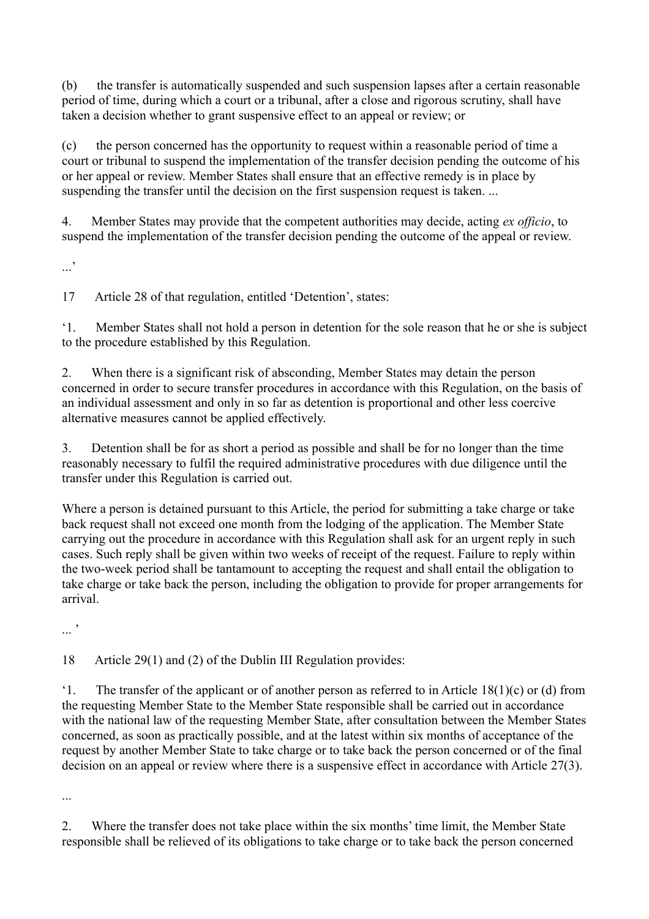(b) the transfer is automatically suspended and such suspension lapses after a certain reasonable period of time, during which a court or a tribunal, after a close and rigorous scrutiny, shall have taken a decision whether to grant suspensive effect to an appeal or review; or

(c) the person concerned has the opportunity to request within a reasonable period of time a court or tribunal to suspend the implementation of the transfer decision pending the outcome of his or her appeal or review. Member States shall ensure that an effective remedy is in place by suspending the transfer until the decision on the first suspension request is taken. ...

4. Member States may provide that the competent authorities may decide, acting *ex officio*, to suspend the implementation of the transfer decision pending the outcome of the appeal or review.

...'

17 Article 28 of that regulation, entitled 'Detention', states:

'1. Member States shall not hold a person in detention for the sole reason that he or she is subject to the procedure established by this Regulation.

2. When there is a significant risk of absconding, Member States may detain the person concerned in order to secure transfer procedures in accordance with this Regulation, on the basis of an individual assessment and only in so far as detention is proportional and other less coercive alternative measures cannot be applied effectively.

3. Detention shall be for as short a period as possible and shall be for no longer than the time reasonably necessary to fulfil the required administrative procedures with due diligence until the transfer under this Regulation is carried out.

Where a person is detained pursuant to this Article, the period for submitting a take charge or take back request shall not exceed one month from the lodging of the application. The Member State carrying out the procedure in accordance with this Regulation shall ask for an urgent reply in such cases. Such reply shall be given within two weeks of receipt of the request. Failure to reply within the two-week period shall be tantamount to accepting the request and shall entail the obligation to take charge or take back the person, including the obligation to provide for proper arrangements for arrival.

 $\cdot$ ...

18 Article 29(1) and (2) of the Dublin III Regulation provides:

'1. The transfer of the applicant or of another person as referred to in Article 18(1)(c) or (d) from the requesting Member State to the Member State responsible shall be carried out in accordance with the national law of the requesting Member State, after consultation between the Member States concerned, as soon as practically possible, and at the latest within six months of acceptance of the request by another Member State to take charge or to take back the person concerned or of the final decision on an appeal or review where there is a suspensive effect in accordance with Article 27(3).

...

2. Where the transfer does not take place within the six months' time limit, the Member State responsible shall be relieved of its obligations to take charge or to take back the person concerned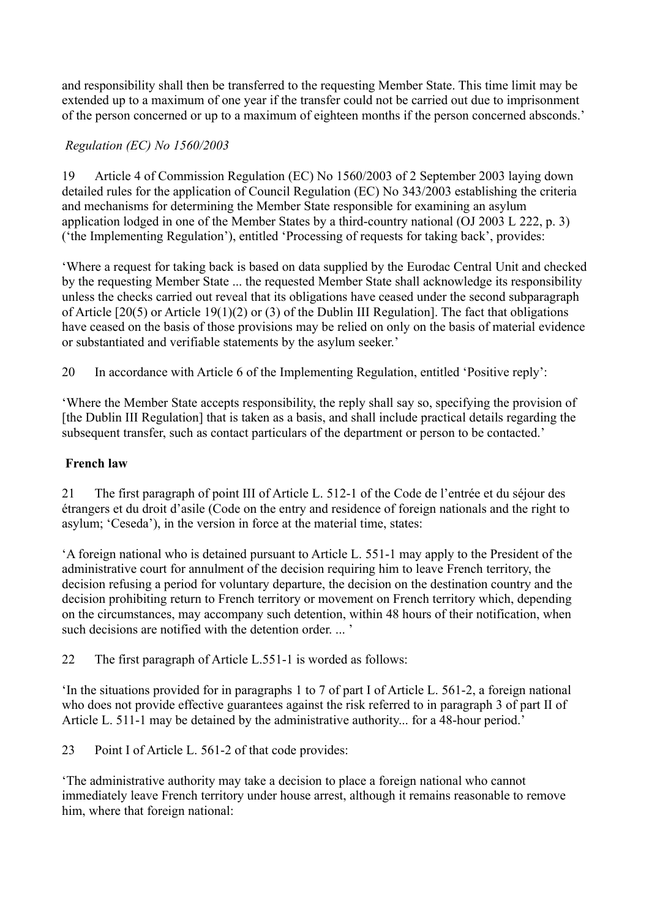and responsibility shall then be transferred to the requesting Member State. This time limit may be extended up to a maximum of one year if the transfer could not be carried out due to imprisonment of the person concerned or up to a maximum of eighteen months if the person concerned absconds.'

# *Regulation (EC) No 1560/2003*

19 Article 4 of Commission Regulation (EC) No 1560/2003 of 2 September 2003 laying down detailed rules for the application of Council Regulation (EC) No 343/2003 establishing the criteria and mechanisms for determining the Member State responsible for examining an asylum application lodged in one of the Member States by a third-country national (OJ 2003 L 222, p. 3) ('the Implementing Regulation'), entitled 'Processing of requests for taking back', provides:

'Where a request for taking back is based on data supplied by the Eurodac Central Unit and checked by the requesting Member State ... the requested Member State shall acknowledge its responsibility unless the checks carried out reveal that its obligations have ceased under the second subparagraph of Article [20(5) or Article 19(1)(2) or (3) of the Dublin III Regulation]. The fact that obligations have ceased on the basis of those provisions may be relied on only on the basis of material evidence or substantiated and verifiable statements by the asylum seeker.'

20 In accordance with Article 6 of the Implementing Regulation, entitled 'Positive reply':

'Where the Member State accepts responsibility, the reply shall say so, specifying the provision of [the Dublin III Regulation] that is taken as a basis, and shall include practical details regarding the subsequent transfer, such as contact particulars of the department or person to be contacted.'

# **French law**

21 The first paragraph of point III of Article L. 512-1 of the Code de l'entrée et du séjour des étrangers et du droit d'asile (Code on the entry and residence of foreign nationals and the right to asylum; 'Ceseda'), in the version in force at the material time, states:

'A foreign national who is detained pursuant to Article L. 551-1 may apply to the President of the administrative court for annulment of the decision requiring him to leave French territory, the decision refusing a period for voluntary departure, the decision on the destination country and the decision prohibiting return to French territory or movement on French territory which, depending on the circumstances, may accompany such detention, within 48 hours of their notification, when such decisions are notified with the detention order. ... '

22 The first paragraph of Article L.551-1 is worded as follows:

'In the situations provided for in paragraphs 1 to 7 of part I of Article L. 561-2, a foreign national who does not provide effective guarantees against the risk referred to in paragraph 3 of part II of Article L. 511-1 may be detained by the administrative authority... for a 48-hour period.'

23 Point I of Article L. 561-2 of that code provides:

'The administrative authority may take a decision to place a foreign national who cannot immediately leave French territory under house arrest, although it remains reasonable to remove him, where that foreign national: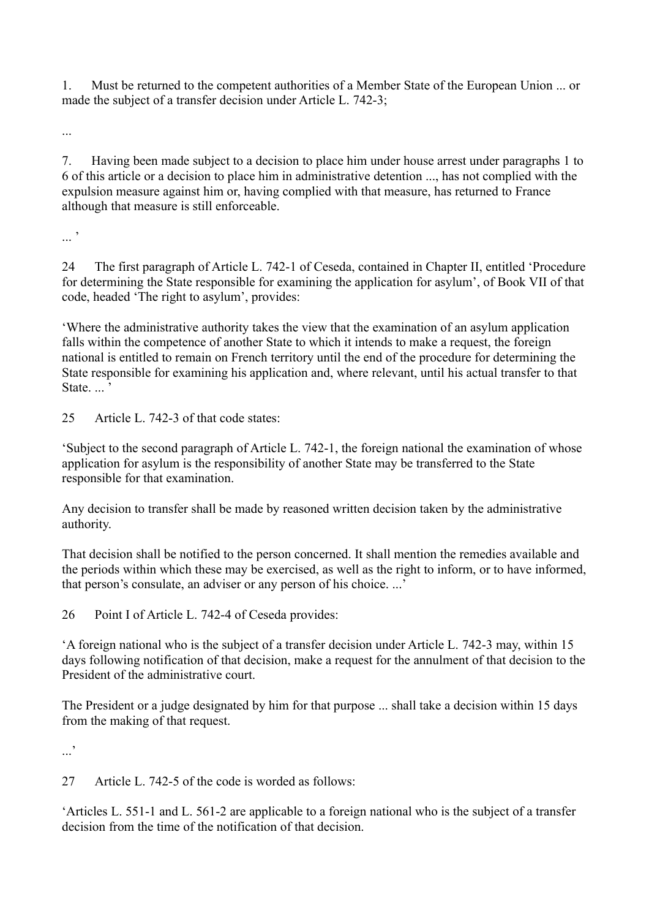1. Must be returned to the competent authorities of a Member State of the European Union ... or made the subject of a transfer decision under Article L. 742-3;

...

7. Having been made subject to a decision to place him under house arrest under paragraphs 1 to 6 of this article or a decision to place him in administrative detention ..., has not complied with the expulsion measure against him or, having complied with that measure, has returned to France although that measure is still enforceable.

 $\cdot$ ...

24 The first paragraph of Article L. 742-1 of Ceseda, contained in Chapter II, entitled 'Procedure for determining the State responsible for examining the application for asylum', of Book VII of that code, headed 'The right to asylum', provides:

'Where the administrative authority takes the view that the examination of an asylum application falls within the competence of another State to which it intends to make a request, the foreign national is entitled to remain on French territory until the end of the procedure for determining the State responsible for examining his application and, where relevant, until his actual transfer to that State....<sup>'</sup>

25 Article L. 742-3 of that code states:

'Subject to the second paragraph of Article L. 742-1, the foreign national the examination of whose application for asylum is the responsibility of another State may be transferred to the State responsible for that examination.

Any decision to transfer shall be made by reasoned written decision taken by the administrative authority.

That decision shall be notified to the person concerned. It shall mention the remedies available and the periods within which these may be exercised, as well as the right to inform, or to have informed, that person's consulate, an adviser or any person of his choice. ...'

26 Point I of Article L. 742-4 of Ceseda provides:

'A foreign national who is the subject of a transfer decision under Article L. 742-3 may, within 15 days following notification of that decision, make a request for the annulment of that decision to the President of the administrative court.

The President or a judge designated by him for that purpose ... shall take a decision within 15 days from the making of that request.

...'

27 Article L. 742-5 of the code is worded as follows:

'Articles L. 551-1 and L. 561-2 are applicable to a foreign national who is the subject of a transfer decision from the time of the notification of that decision.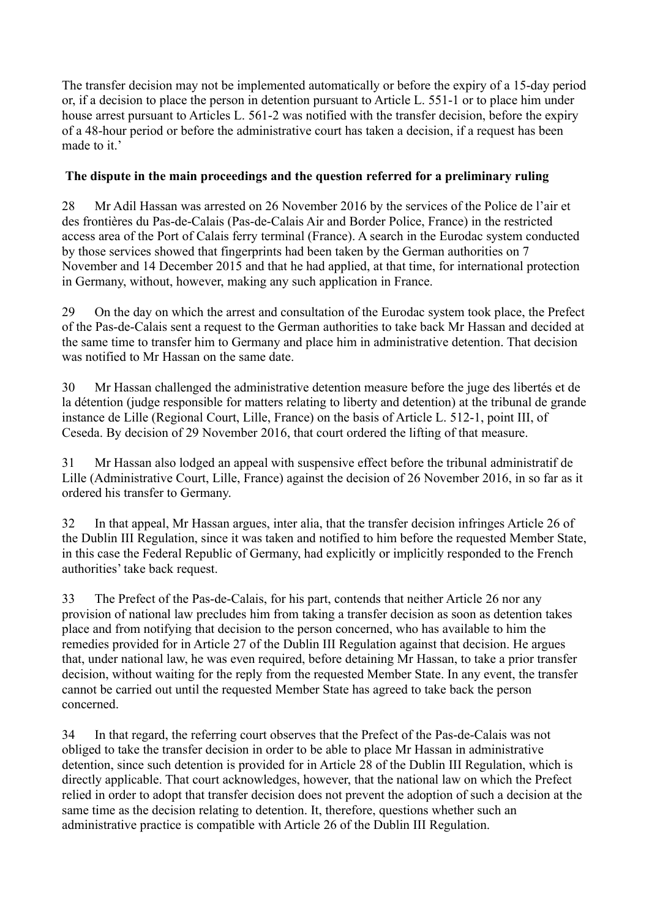The transfer decision may not be implemented automatically or before the expiry of a 15-day period or, if a decision to place the person in detention pursuant to Article L. 551-1 or to place him under house arrest pursuant to Articles L. 561-2 was notified with the transfer decision, before the expiry of a 48-hour period or before the administrative court has taken a decision, if a request has been made to it.

# **The dispute in the main proceedings and the question referred for a preliminary ruling**

28 Mr Adil Hassan was arrested on 26 November 2016 by the services of the Police de l'air et des frontières du Pas-de-Calais (Pas-de-Calais Air and Border Police, France) in the restricted access area of the Port of Calais ferry terminal (France). A search in the Eurodac system conducted by those services showed that fingerprints had been taken by the German authorities on 7 November and 14 December 2015 and that he had applied, at that time, for international protection in Germany, without, however, making any such application in France.

29 On the day on which the arrest and consultation of the Eurodac system took place, the Prefect of the Pas-de-Calais sent a request to the German authorities to take back Mr Hassan and decided at the same time to transfer him to Germany and place him in administrative detention. That decision was notified to Mr Hassan on the same date.

30 Mr Hassan challenged the administrative detention measure before the juge des libertés et de la détention (judge responsible for matters relating to liberty and detention) at the tribunal de grande instance de Lille (Regional Court, Lille, France) on the basis of Article L. 512-1, point III, of Ceseda. By decision of 29 November 2016, that court ordered the lifting of that measure.

31 Mr Hassan also lodged an appeal with suspensive effect before the tribunal administratif de Lille (Administrative Court, Lille, France) against the decision of 26 November 2016, in so far as it ordered his transfer to Germany.

32 In that appeal, Mr Hassan argues, inter alia, that the transfer decision infringes Article 26 of the Dublin III Regulation, since it was taken and notified to him before the requested Member State, in this case the Federal Republic of Germany, had explicitly or implicitly responded to the French authorities' take back request.

33 The Prefect of the Pas-de-Calais, for his part, contends that neither Article 26 nor any provision of national law precludes him from taking a transfer decision as soon as detention takes place and from notifying that decision to the person concerned, who has available to him the remedies provided for in Article 27 of the Dublin III Regulation against that decision. He argues that, under national law, he was even required, before detaining Mr Hassan, to take a prior transfer decision, without waiting for the reply from the requested Member State. In any event, the transfer cannot be carried out until the requested Member State has agreed to take back the person concerned.

34 In that regard, the referring court observes that the Prefect of the Pas-de-Calais was not obliged to take the transfer decision in order to be able to place Mr Hassan in administrative detention, since such detention is provided for in Article 28 of the Dublin III Regulation, which is directly applicable. That court acknowledges, however, that the national law on which the Prefect relied in order to adopt that transfer decision does not prevent the adoption of such a decision at the same time as the decision relating to detention. It, therefore, questions whether such an administrative practice is compatible with Article 26 of the Dublin III Regulation.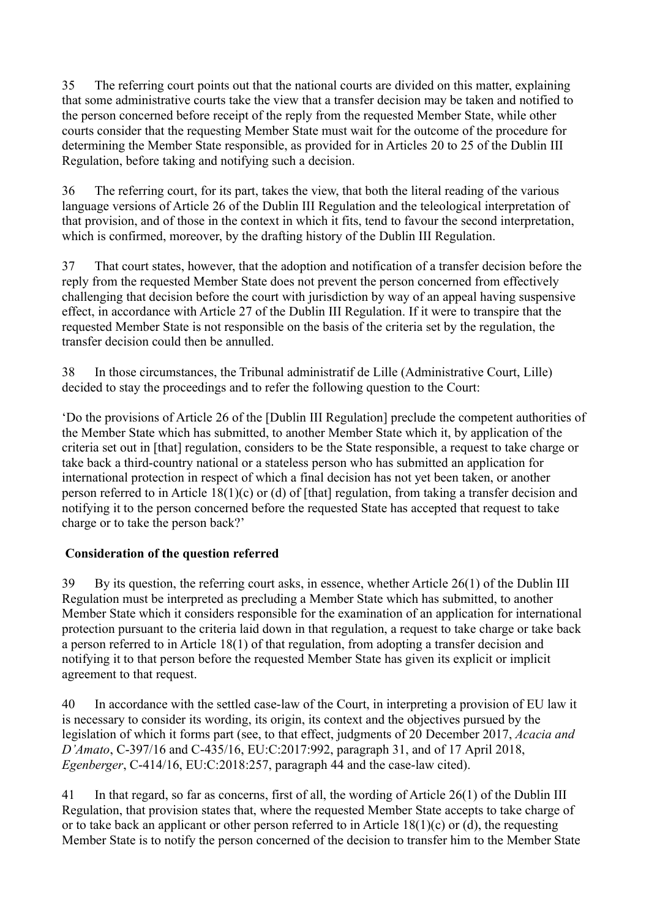35 The referring court points out that the national courts are divided on this matter, explaining that some administrative courts take the view that a transfer decision may be taken and notified to the person concerned before receipt of the reply from the requested Member State, while other courts consider that the requesting Member State must wait for the outcome of the procedure for determining the Member State responsible, as provided for in Articles 20 to 25 of the Dublin III Regulation, before taking and notifying such a decision.

36 The referring court, for its part, takes the view, that both the literal reading of the various language versions of Article 26 of the Dublin III Regulation and the teleological interpretation of that provision, and of those in the context in which it fits, tend to favour the second interpretation, which is confirmed, moreover, by the drafting history of the Dublin III Regulation.

37 That court states, however, that the adoption and notification of a transfer decision before the reply from the requested Member State does not prevent the person concerned from effectively challenging that decision before the court with jurisdiction by way of an appeal having suspensive effect, in accordance with Article 27 of the Dublin III Regulation. If it were to transpire that the requested Member State is not responsible on the basis of the criteria set by the regulation, the transfer decision could then be annulled.

38 In those circumstances, the Tribunal administratif de Lille (Administrative Court, Lille) decided to stay the proceedings and to refer the following question to the Court:

'Do the provisions of Article 26 of the [Dublin III Regulation] preclude the competent authorities of the Member State which has submitted, to another Member State which it, by application of the criteria set out in [that] regulation, considers to be the State responsible, a request to take charge or take back a third-country national or a stateless person who has submitted an application for international protection in respect of which a final decision has not yet been taken, or another person referred to in Article 18(1)(c) or (d) of [that] regulation, from taking a transfer decision and notifying it to the person concerned before the requested State has accepted that request to take charge or to take the person back?'

## **Consideration of the question referred**

39 By its question, the referring court asks, in essence, whether Article 26(1) of the Dublin III Regulation must be interpreted as precluding a Member State which has submitted, to another Member State which it considers responsible for the examination of an application for international protection pursuant to the criteria laid down in that regulation, a request to take charge or take back a person referred to in Article 18(1) of that regulation, from adopting a transfer decision and notifying it to that person before the requested Member State has given its explicit or implicit agreement to that request.

40 In accordance with the settled case-law of the Court, in interpreting a provision of EU law it is necessary to consider its wording, its origin, its context and the objectives pursued by the legislation of which it forms part (see, to that effect, judgments of 20 December 2017, *Acacia and D'Amato*, C-397/16 and C-435/16, EU:C:2017:992, paragraph 31, and of 17 April 2018, *Egenberger*, C-414/16, EU:C:2018:257, paragraph 44 and the case-law cited).

41 In that regard, so far as concerns, first of all, the wording of Article 26(1) of the Dublin III Regulation, that provision states that, where the requested Member State accepts to take charge of or to take back an applicant or other person referred to in Article  $18(1)(c)$  or (d), the requesting Member State is to notify the person concerned of the decision to transfer him to the Member State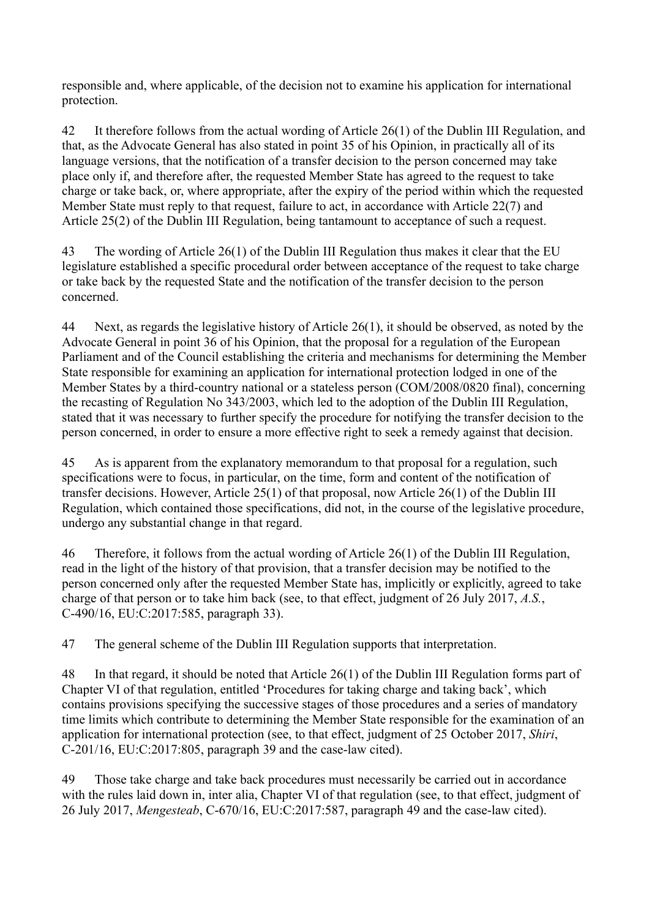responsible and, where applicable, of the decision not to examine his application for international protection.

42 It therefore follows from the actual wording of Article 26(1) of the Dublin III Regulation, and that, as the Advocate General has also stated in point 35 of his Opinion, in practically all of its language versions, that the notification of a transfer decision to the person concerned may take place only if, and therefore after, the requested Member State has agreed to the request to take charge or take back, or, where appropriate, after the expiry of the period within which the requested Member State must reply to that request, failure to act, in accordance with Article 22(7) and Article 25(2) of the Dublin III Regulation, being tantamount to acceptance of such a request.

43 The wording of Article 26(1) of the Dublin III Regulation thus makes it clear that the EU legislature established a specific procedural order between acceptance of the request to take charge or take back by the requested State and the notification of the transfer decision to the person concerned.

44 Next, as regards the legislative history of Article 26(1), it should be observed, as noted by the Advocate General in point 36 of his Opinion, that the proposal for a regulation of the European Parliament and of the Council establishing the criteria and mechanisms for determining the Member State responsible for examining an application for international protection lodged in one of the Member States by a third-country national or a stateless person (COM/2008/0820 final), concerning the recasting of Regulation No 343/2003, which led to the adoption of the Dublin III Regulation, stated that it was necessary to further specify the procedure for notifying the transfer decision to the person concerned, in order to ensure a more effective right to seek a remedy against that decision.

45 As is apparent from the explanatory memorandum to that proposal for a regulation, such specifications were to focus, in particular, on the time, form and content of the notification of transfer decisions. However, Article 25(1) of that proposal, now Article 26(1) of the Dublin III Regulation, which contained those specifications, did not, in the course of the legislative procedure, undergo any substantial change in that regard.

46 Therefore, it follows from the actual wording of Article 26(1) of the Dublin III Regulation, read in the light of the history of that provision, that a transfer decision may be notified to the person concerned only after the requested Member State has, implicitly or explicitly, agreed to take charge of that person or to take him back (see, to that effect, judgment of 26 July 2017, *A.S.*, C-490/16, EU:C:2017:585, paragraph 33).

47 The general scheme of the Dublin III Regulation supports that interpretation.

48 In that regard, it should be noted that Article 26(1) of the Dublin III Regulation forms part of Chapter VI of that regulation, entitled 'Procedures for taking charge and taking back', which contains provisions specifying the successive stages of those procedures and a series of mandatory time limits which contribute to determining the Member State responsible for the examination of an application for international protection (see, to that effect, judgment of 25 October 2017, *Shiri*, C-201/16, EU:C:2017:805, paragraph 39 and the case-law cited).

49 Those take charge and take back procedures must necessarily be carried out in accordance with the rules laid down in, inter alia, Chapter VI of that regulation (see, to that effect, judgment of 26 July 2017, *Mengesteab*, C-670/16, EU:C:2017:587, paragraph 49 and the case-law cited).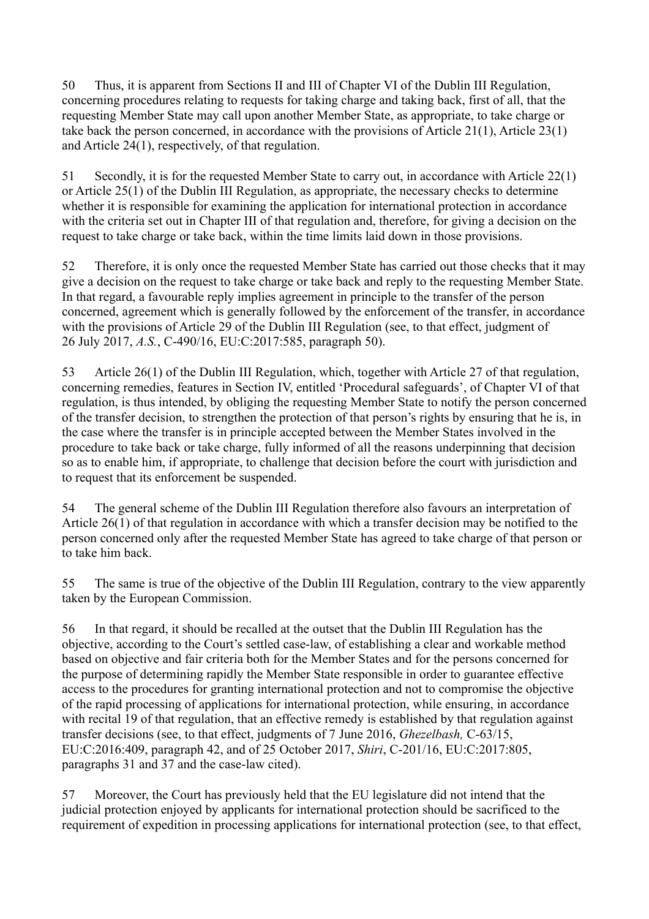50 Thus, it is apparent from Sections II and III of Chapter VI of the Dublin III Regulation, concerning procedures relating to requests for taking charge and taking back, first of all, that the requesting Member State may call upon another Member State, as appropriate, to take charge or take back the person concerned, in accordance with the provisions of Article 21(1), Article 23(1) and Article 24(1), respectively, of that regulation.

51 Secondly, it is for the requested Member State to carry out, in accordance with Article 22(1) or Article 25(1) of the Dublin III Regulation, as appropriate, the necessary checks to determine whether it is responsible for examining the application for international protection in accordance with the criteria set out in Chapter III of that regulation and, therefore, for giving a decision on the request to take charge or take back, within the time limits laid down in those provisions.

52 Therefore, it is only once the requested Member State has carried out those checks that it may give a decision on the request to take charge or take back and reply to the requesting Member State. In that regard, a favourable reply implies agreement in principle to the transfer of the person concerned, agreement which is generally followed by the enforcement of the transfer, in accordance with the provisions of Article 29 of the Dublin III Regulation (see, to that effect, judgment of 26 July 2017, *A.S.*, C-490/16, EU:C:2017:585, paragraph 50).

53 Article 26(1) of the Dublin III Regulation, which, together with Article 27 of that regulation, concerning remedies, features in Section IV, entitled 'Procedural safeguards', of Chapter VI of that regulation, is thus intended, by obliging the requesting Member State to notify the person concerned of the transfer decision, to strengthen the protection of that person's rights by ensuring that he is, in the case where the transfer is in principle accepted between the Member States involved in the procedure to take back or take charge, fully informed of all the reasons underpinning that decision so as to enable him, if appropriate, to challenge that decision before the court with jurisdiction and to request that its enforcement be suspended.

54 The general scheme of the Dublin III Regulation therefore also favours an interpretation of Article 26(1) of that regulation in accordance with which a transfer decision may be notified to the person concerned only after the requested Member State has agreed to take charge of that person or to take him back.

55 The same is true of the objective of the Dublin III Regulation, contrary to the view apparently taken by the European Commission.

56 In that regard, it should be recalled at the outset that the Dublin III Regulation has the objective, according to the Court's settled case-law, of establishing a clear and workable method based on objective and fair criteria both for the Member States and for the persons concerned for the purpose of determining rapidly the Member State responsible in order to guarantee effective access to the procedures for granting international protection and not to compromise the objective of the rapid processing of applications for international protection, while ensuring, in accordance with recital 19 of that regulation, that an effective remedy is established by that regulation against transfer decisions (see, to that effect, judgments of 7 June 2016, *Ghezelbash,* C-63/15, EU:C:2016:409, paragraph 42, and of 25 October 2017, *Shiri*, C-201/16, EU:C:2017:805, paragraphs 31 and 37 and the case-law cited).

57 Moreover, the Court has previously held that the EU legislature did not intend that the judicial protection enjoyed by applicants for international protection should be sacrificed to the requirement of expedition in processing applications for international protection (see, to that effect,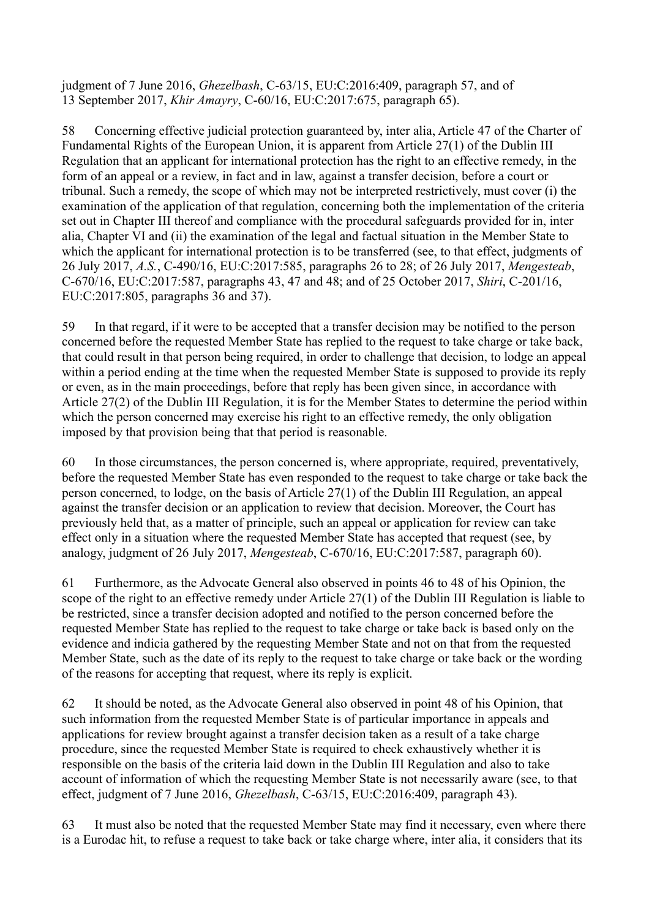judgment of 7 June 2016, *Ghezelbash*, C-63/15, EU:C:2016:409, paragraph 57, and of 13 September 2017, *Khir Amayry*, C-60/16, EU:C:2017:675, paragraph 65).

58 Concerning effective judicial protection guaranteed by, inter alia, Article 47 of the Charter of Fundamental Rights of the European Union, it is apparent from Article 27(1) of the Dublin III Regulation that an applicant for international protection has the right to an effective remedy, in the form of an appeal or a review, in fact and in law, against a transfer decision, before a court or tribunal. Such a remedy, the scope of which may not be interpreted restrictively, must cover (i) the examination of the application of that regulation, concerning both the implementation of the criteria set out in Chapter III thereof and compliance with the procedural safeguards provided for in, inter alia, Chapter VI and (ii) the examination of the legal and factual situation in the Member State to which the applicant for international protection is to be transferred (see, to that effect, judgments of 26 July 2017, *A.S.*, C-490/16, EU:C:2017:585, paragraphs 26 to 28; of 26 July 2017, *Mengesteab*, C-670/16, EU:C:2017:587, paragraphs 43, 47 and 48; and of 25 October 2017, *Shiri*, C-201/16, EU:C:2017:805, paragraphs 36 and 37).

59 In that regard, if it were to be accepted that a transfer decision may be notified to the person concerned before the requested Member State has replied to the request to take charge or take back, that could result in that person being required, in order to challenge that decision, to lodge an appeal within a period ending at the time when the requested Member State is supposed to provide its reply or even, as in the main proceedings, before that reply has been given since, in accordance with Article 27(2) of the Dublin III Regulation, it is for the Member States to determine the period within which the person concerned may exercise his right to an effective remedy, the only obligation imposed by that provision being that that period is reasonable.

60 In those circumstances, the person concerned is, where appropriate, required, preventatively, before the requested Member State has even responded to the request to take charge or take back the person concerned, to lodge, on the basis of Article 27(1) of the Dublin III Regulation, an appeal against the transfer decision or an application to review that decision. Moreover, the Court has previously held that, as a matter of principle, such an appeal or application for review can take effect only in a situation where the requested Member State has accepted that request (see, by analogy, judgment of 26 July 2017, *Mengesteab*, C-670/16, EU:C:2017:587, paragraph 60).

61 Furthermore, as the Advocate General also observed in points 46 to 48 of his Opinion, the scope of the right to an effective remedy under Article 27(1) of the Dublin III Regulation is liable to be restricted, since a transfer decision adopted and notified to the person concerned before the requested Member State has replied to the request to take charge or take back is based only on the evidence and indicia gathered by the requesting Member State and not on that from the requested Member State, such as the date of its reply to the request to take charge or take back or the wording of the reasons for accepting that request, where its reply is explicit.

62 It should be noted, as the Advocate General also observed in point 48 of his Opinion, that such information from the requested Member State is of particular importance in appeals and applications for review brought against a transfer decision taken as a result of a take charge procedure, since the requested Member State is required to check exhaustively whether it is responsible on the basis of the criteria laid down in the Dublin III Regulation and also to take account of information of which the requesting Member State is not necessarily aware (see, to that effect, judgment of 7 June 2016, *Ghezelbash*, C-63/15, EU:C:2016:409, paragraph 43).

63 It must also be noted that the requested Member State may find it necessary, even where there is a Eurodac hit, to refuse a request to take back or take charge where, inter alia, it considers that its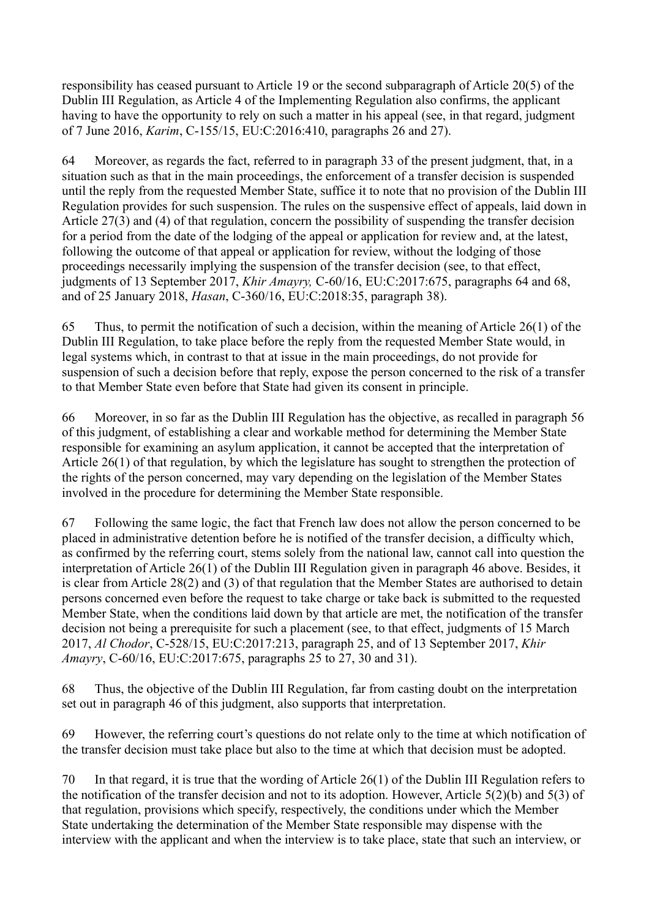responsibility has ceased pursuant to Article 19 or the second subparagraph of Article 20(5) of the Dublin III Regulation, as Article 4 of the Implementing Regulation also confirms, the applicant having to have the opportunity to rely on such a matter in his appeal (see, in that regard, judgment of 7 June 2016, *Karim*, C-155/15, EU:C:2016:410, paragraphs 26 and 27).

64 Moreover, as regards the fact, referred to in paragraph 33 of the present judgment, that, in a situation such as that in the main proceedings, the enforcement of a transfer decision is suspended until the reply from the requested Member State, suffice it to note that no provision of the Dublin III Regulation provides for such suspension. The rules on the suspensive effect of appeals, laid down in Article 27(3) and (4) of that regulation, concern the possibility of suspending the transfer decision for a period from the date of the lodging of the appeal or application for review and, at the latest, following the outcome of that appeal or application for review, without the lodging of those proceedings necessarily implying the suspension of the transfer decision (see, to that effect, judgments of 13 September 2017, *Khir Amayry,* C-60/16, EU:C:2017:675, paragraphs 64 and 68, and of 25 January 2018, *Hasan*, C-360/16, EU:C:2018:35, paragraph 38).

65 Thus, to permit the notification of such a decision, within the meaning of Article 26(1) of the Dublin III Regulation, to take place before the reply from the requested Member State would, in legal systems which, in contrast to that at issue in the main proceedings, do not provide for suspension of such a decision before that reply, expose the person concerned to the risk of a transfer to that Member State even before that State had given its consent in principle.

66 Moreover, in so far as the Dublin III Regulation has the objective, as recalled in paragraph 56 of this judgment, of establishing a clear and workable method for determining the Member State responsible for examining an asylum application, it cannot be accepted that the interpretation of Article 26(1) of that regulation, by which the legislature has sought to strengthen the protection of the rights of the person concerned, may vary depending on the legislation of the Member States involved in the procedure for determining the Member State responsible.

67 Following the same logic, the fact that French law does not allow the person concerned to be placed in administrative detention before he is notified of the transfer decision, a difficulty which, as confirmed by the referring court, stems solely from the national law, cannot call into question the interpretation of Article 26(1) of the Dublin III Regulation given in paragraph 46 above. Besides, it is clear from Article 28(2) and (3) of that regulation that the Member States are authorised to detain persons concerned even before the request to take charge or take back is submitted to the requested Member State, when the conditions laid down by that article are met, the notification of the transfer decision not being a prerequisite for such a placement (see, to that effect, judgments of 15 March 2017, *Al Chodor*, C-528/15, EU:C:2017:213, paragraph 25, and of 13 September 2017, *Khir Amayry*, C-60/16, EU:C:2017:675, paragraphs 25 to 27, 30 and 31).

68 Thus, the objective of the Dublin III Regulation, far from casting doubt on the interpretation set out in paragraph 46 of this judgment, also supports that interpretation.

69 However, the referring court's questions do not relate only to the time at which notification of the transfer decision must take place but also to the time at which that decision must be adopted.

70 In that regard, it is true that the wording of Article 26(1) of the Dublin III Regulation refers to the notification of the transfer decision and not to its adoption. However, Article 5(2)(b) and 5(3) of that regulation, provisions which specify, respectively, the conditions under which the Member State undertaking the determination of the Member State responsible may dispense with the interview with the applicant and when the interview is to take place, state that such an interview, or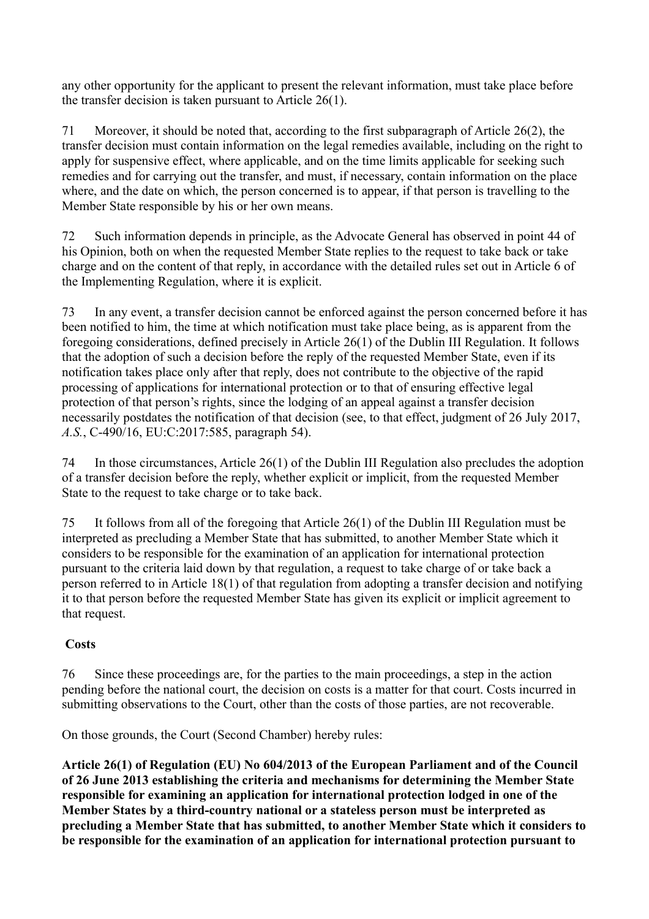any other opportunity for the applicant to present the relevant information, must take place before the transfer decision is taken pursuant to Article 26(1).

71 Moreover, it should be noted that, according to the first subparagraph of Article 26(2), the transfer decision must contain information on the legal remedies available, including on the right to apply for suspensive effect, where applicable, and on the time limits applicable for seeking such remedies and for carrying out the transfer, and must, if necessary, contain information on the place where, and the date on which, the person concerned is to appear, if that person is travelling to the Member State responsible by his or her own means.

72 Such information depends in principle, as the Advocate General has observed in point 44 of his Opinion, both on when the requested Member State replies to the request to take back or take charge and on the content of that reply, in accordance with the detailed rules set out in Article 6 of the Implementing Regulation, where it is explicit.

73 In any event, a transfer decision cannot be enforced against the person concerned before it has been notified to him, the time at which notification must take place being, as is apparent from the foregoing considerations, defined precisely in Article 26(1) of the Dublin III Regulation. It follows that the adoption of such a decision before the reply of the requested Member State, even if its notification takes place only after that reply, does not contribute to the objective of the rapid processing of applications for international protection or to that of ensuring effective legal protection of that person's rights, since the lodging of an appeal against a transfer decision necessarily postdates the notification of that decision (see, to that effect, judgment of 26 July 2017, *A.S.*, C-490/16, EU:C:2017:585, paragraph 54).

74 In those circumstances, Article 26(1) of the Dublin III Regulation also precludes the adoption of a transfer decision before the reply, whether explicit or implicit, from the requested Member State to the request to take charge or to take back.

75 It follows from all of the foregoing that Article 26(1) of the Dublin III Regulation must be interpreted as precluding a Member State that has submitted, to another Member State which it considers to be responsible for the examination of an application for international protection pursuant to the criteria laid down by that regulation, a request to take charge of or take back a person referred to in Article 18(1) of that regulation from adopting a transfer decision and notifying it to that person before the requested Member State has given its explicit or implicit agreement to that request.

## **Costs**

76 Since these proceedings are, for the parties to the main proceedings, a step in the action pending before the national court, the decision on costs is a matter for that court. Costs incurred in submitting observations to the Court, other than the costs of those parties, are not recoverable.

On those grounds, the Court (Second Chamber) hereby rules:

**Article 26(1) of Regulation (EU) No 604/2013 of the European Parliament and of the Council of 26 June 2013 establishing the criteria and mechanisms for determining the Member State responsible for examining an application for international protection lodged in one of the Member States by a third-country national or a stateless person must be interpreted as precluding a Member State that has submitted, to another Member State which it considers to be responsible for the examination of an application for international protection pursuant to**